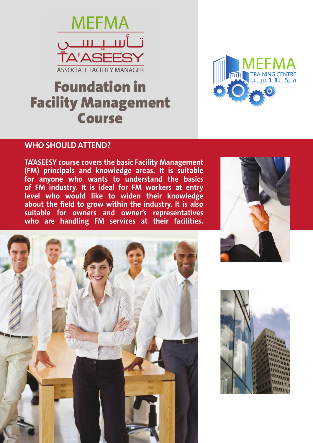

# Foundation in Facility Management Course



### **WHO SHOULD ATTEND?**

**TA'ASEESY course covers the basic Facility Management (FM) principals and knowledge areas. It is suitable for anyone who wants to understand the basics of FM industry. It is ideal for FM workers at entry level who would like to widen their knowledge about the field to grow within the industry. It is also suitable for owners and owner's representatives who are handling FM services at their facilities.**





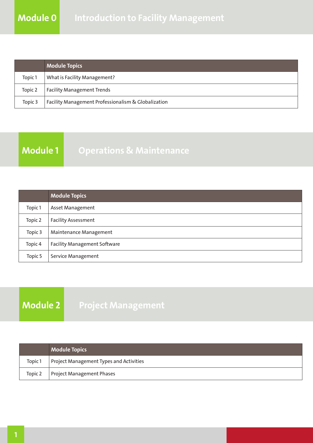|         | <b>Module Topics</b>                                |
|---------|-----------------------------------------------------|
| Topic 1 | What is Facility Management?                        |
| Topic 2 | <b>Facility Management Trends</b>                   |
| Topic 3 | Facility Management Professionalism & Globalization |

### **Module 1 Operations & Maintenance**

|         | <b>Module Topics</b>                |
|---------|-------------------------------------|
| Topic 1 | <b>Asset Management</b>             |
| Topic 2 | <b>Facility Assessment</b>          |
| Topic 3 | Maintenance Management              |
| Topic 4 | <b>Facility Management Software</b> |
| Topic 5 | Service Management                  |

## **Module 2 Project Management**

|         | <b>Module Topics</b>                    |
|---------|-----------------------------------------|
| Topic 1 | Project Management Types and Activities |
| Topic 2 | Project Management Phases               |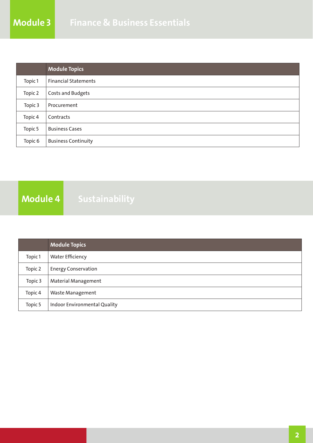|         | <b>Module Topics</b>        |
|---------|-----------------------------|
| Topic 1 | <b>Financial Statements</b> |
| Topic 2 | Costs and Budgets           |
| Topic 3 | Procurement                 |
| Topic 4 | Contracts                   |
| Topic 5 | <b>Business Cases</b>       |
| Topic 6 | <b>Business Continuity</b>  |

**Module 4 Sustainability**

|         | <b>Module Topics</b>         |
|---------|------------------------------|
| Topic 1 | <b>Water Efficiency</b>      |
| Topic 2 | <b>Energy Conservation</b>   |
| Topic 3 | <b>Material Management</b>   |
| Topic 4 | <b>Waste Management</b>      |
| Topic 5 | Indoor Environmental Quality |